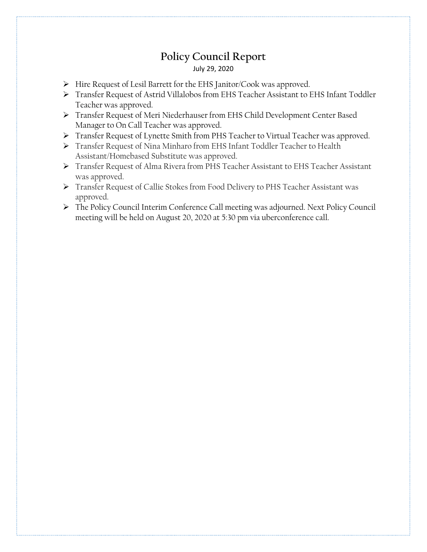## **Policy Council Report** July 29, 2020

- > Hire Request of Lesil Barrett for the EHS Janitor/Cook was approved.
- Transfer Request of Astrid Villalobos from EHS Teacher Assistant to EHS Infant Toddler Teacher was approved.
- Transfer Request of Meri Niederhauser from EHS Child Development Center Based Manager to On Call Teacher was approved.
- Transfer Request of Lynette Smith from PHS Teacher to Virtual Teacher was approved.
- Transfer Request of Nina Minharo from EHS Infant Toddler Teacher to Health Assistant/Homebased Substitute was approved.
- Transfer Request of Alma Rivera from PHS Teacher Assistant to EHS Teacher Assistant was approved.
- Transfer Request of Callie Stokes from Food Delivery to PHS Teacher Assistant was approved.
- The Policy Council Interim Conference Call meeting was adjourned. Next Policy Council meeting will be held on August 20, 2020 at 5:30 pm via uberconference call.